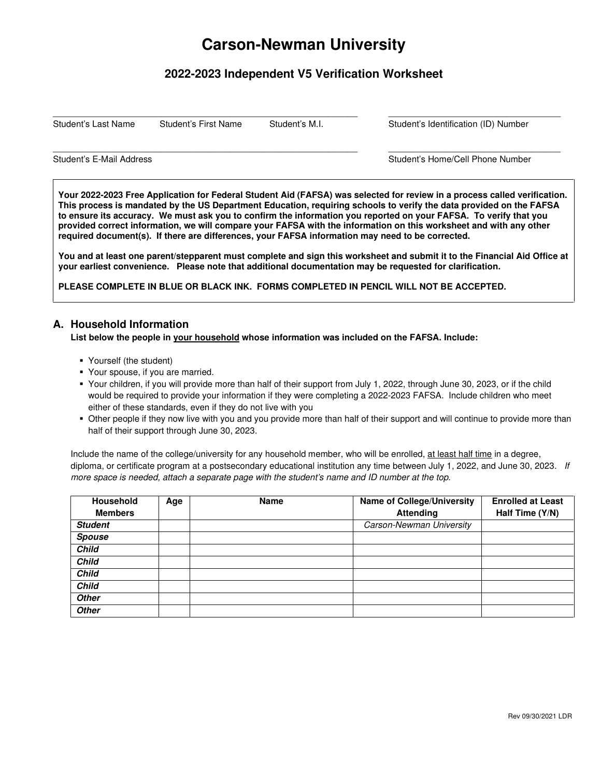# **Carson-Newman University**

## **2022-2023 Independent V5 Verification Worksheet**

 $\_$  ,  $\_$  ,  $\_$  ,  $\_$  ,  $\_$  ,  $\_$  ,  $\_$  ,  $\_$  ,  $\_$  ,  $\_$  ,  $\_$  ,  $\_$  ,  $\_$  ,  $\_$  ,  $\_$  ,  $\_$  ,  $\_$  ,  $\_$  ,  $\_$  ,  $\_$  ,  $\_$  ,  $\_$  ,  $\_$  ,  $\_$  ,  $\_$  ,  $\_$  ,  $\_$  ,  $\_$  ,  $\_$  ,  $\_$  ,  $\_$  ,  $\_$  ,  $\_$  ,  $\_$  ,  $\_$  ,  $\_$  ,  $\_$  ,

 $\_$  ,  $\_$  ,  $\_$  ,  $\_$  ,  $\_$  ,  $\_$  ,  $\_$  ,  $\_$  ,  $\_$  ,  $\_$  ,  $\_$  ,  $\_$  ,  $\_$  ,  $\_$  ,  $\_$  ,  $\_$  ,  $\_$  ,  $\_$  ,  $\_$  ,  $\_$  ,  $\_$  ,  $\_$  ,  $\_$  ,  $\_$  ,  $\_$  ,  $\_$  ,  $\_$  ,  $\_$  ,  $\_$  ,  $\_$  ,  $\_$  ,  $\_$  ,  $\_$  ,  $\_$  ,  $\_$  ,  $\_$  ,  $\_$  ,

Student's Last Name Student's First Name Student's M.I. Student's Identification (ID) Number

Student's E-Mail Address **Student's E-Mail Address** Student's Home/Cell Phone Number

**Your 2022-2023 Free Application for Federal Student Aid (FAFSA) was selected for review in a process called verification. This process is mandated by the US Department Education, requiring schools to verify the data provided on the FAFSA to ensure its accuracy. We must ask you to confirm the information you reported on your FAFSA. To verify that you provided correct information, we will compare your FAFSA with the information on this worksheet and with any other required document(s). If there are differences, your FAFSA information may need to be corrected.** 

**You and at least one parent/stepparent must complete and sign this worksheet and submit it to the Financial Aid Office at your earliest convenience. Please note that additional documentation may be requested for clarification.** 

**PLEASE COMPLETE IN BLUE OR BLACK INK. FORMS COMPLETED IN PENCIL WILL NOT BE ACCEPTED.** 

### **A. Household Information**

#### **List below the people in your household whose information was included on the FAFSA. Include:**

- Yourself (the student)
- Your spouse, if you are married.
- Your children, if you will provide more than half of their support from July 1, 2022, through June 30, 2023, or if the child would be required to provide your information if they were completing a 2022-2023 FAFSA. Include children who meet either of these standards, even if they do not live with you
- Other people if they now live with you and you provide more than half of their support and will continue to provide more than half of their support through June 30, 2023.

Include the name of the college/university for any household member, who will be enrolled, at least half time in a degree, diploma, or certificate program at a postsecondary educational institution any time between July 1, 2022, and June 30, 2023. If more space is needed, attach a separate page with the student's name and ID number at the top.

| <b>Household</b> | Age | <b>Name</b> | <b>Name of College/University</b> | <b>Enrolled at Least</b> |
|------------------|-----|-------------|-----------------------------------|--------------------------|
| <b>Members</b>   |     |             | <b>Attending</b>                  | Half Time (Y/N)          |
| <b>Student</b>   |     |             | Carson-Newman University          |                          |
| <b>Spouse</b>    |     |             |                                   |                          |
| <b>Child</b>     |     |             |                                   |                          |
| <b>Child</b>     |     |             |                                   |                          |
| <b>Child</b>     |     |             |                                   |                          |
| <b>Child</b>     |     |             |                                   |                          |
| <b>Other</b>     |     |             |                                   |                          |
| <b>Other</b>     |     |             |                                   |                          |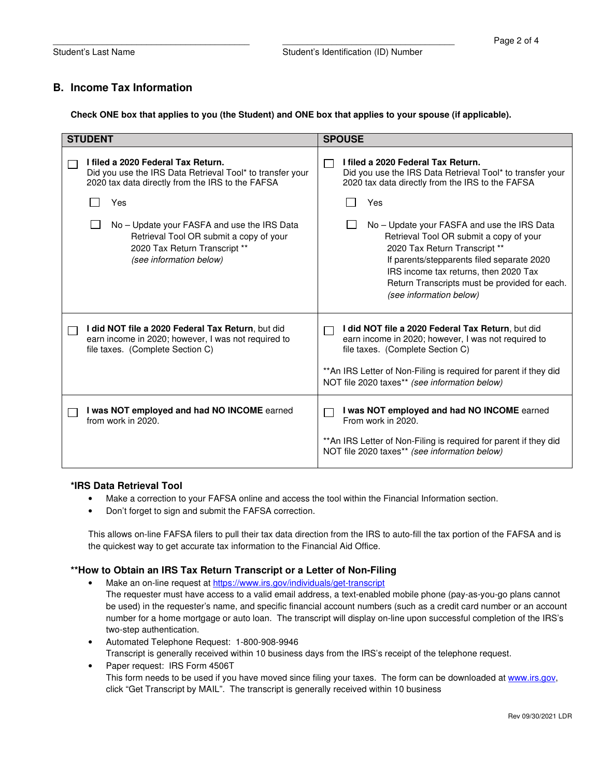## **B. Income Tax Information**

**Check ONE box that applies to you (the Student) and ONE box that applies to your spouse (if applicable).** 

| <b>STUDENT</b>                                                                                                                                      | <b>SPOUSE</b>                                                                                                                                                                                                                                                                              |
|-----------------------------------------------------------------------------------------------------------------------------------------------------|--------------------------------------------------------------------------------------------------------------------------------------------------------------------------------------------------------------------------------------------------------------------------------------------|
| I filed a 2020 Federal Tax Return.<br>Did you use the IRS Data Retrieval Tool* to transfer your<br>2020 tax data directly from the IRS to the FAFSA | I filed a 2020 Federal Tax Return.<br>Did you use the IRS Data Retrieval Tool* to transfer your<br>2020 tax data directly from the IRS to the FAFSA                                                                                                                                        |
| Yes                                                                                                                                                 | Yes                                                                                                                                                                                                                                                                                        |
| No – Update your FASFA and use the IRS Data<br>Retrieval Tool OR submit a copy of your<br>2020 Tax Return Transcript **<br>(see information below)  | No – Update your FASFA and use the IRS Data<br>Retrieval Tool OR submit a copy of your<br>2020 Tax Return Transcript **<br>If parents/stepparents filed separate 2020<br>IRS income tax returns, then 2020 Tax<br>Return Transcripts must be provided for each.<br>(see information below) |
| I did NOT file a 2020 Federal Tax Return, but did<br>earn income in 2020; however, I was not required to<br>file taxes. (Complete Section C)        | I did NOT file a 2020 Federal Tax Return, but did<br>earn income in 2020; however, I was not required to<br>file taxes. (Complete Section C)<br>** An IRS Letter of Non-Filing is required for parent if they did<br>NOT file 2020 taxes** (see information below)                         |
| I was NOT employed and had NO INCOME earned<br>from work in 2020.                                                                                   | I was NOT employed and had NO INCOME earned<br>From work in 2020.<br>** An IRS Letter of Non-Filing is required for parent if they did<br>NOT file 2020 taxes** (see information below)                                                                                                    |

#### **\*IRS Data Retrieval Tool**

- Make a correction to your FAFSA online and access the tool within the Financial Information section.
- Don't forget to sign and submit the FAFSA correction.

This allows on-line FAFSA filers to pull their tax data direction from the IRS to auto-fill the tax portion of the FAFSA and is the quickest way to get accurate tax information to the Financial Aid Office.

#### **\*\*How to Obtain an IRS Tax Return Transcript or a Letter of Non-Filing**

- Make an on-line request at https://www.irs.gov/individuals/get-transcript The requester must have access to a valid email address, a text-enabled mobile phone (pay-as-you-go plans cannot be used) in the requester's name, and specific financial account numbers (such as a credit card number or an account number for a home mortgage or auto loan. The transcript will display on-line upon successful completion of the IRS's two-step authentication.
- Automated Telephone Request: 1-800-908-9946 Transcript is generally received within 10 business days from the IRS's receipt of the telephone request.
- Paper request: IRS Form 4506T This form needs to be used if you have moved since filing your taxes. The form can be downloaded at www.irs.gov, click "Get Transcript by MAIL". The transcript is generally received within 10 business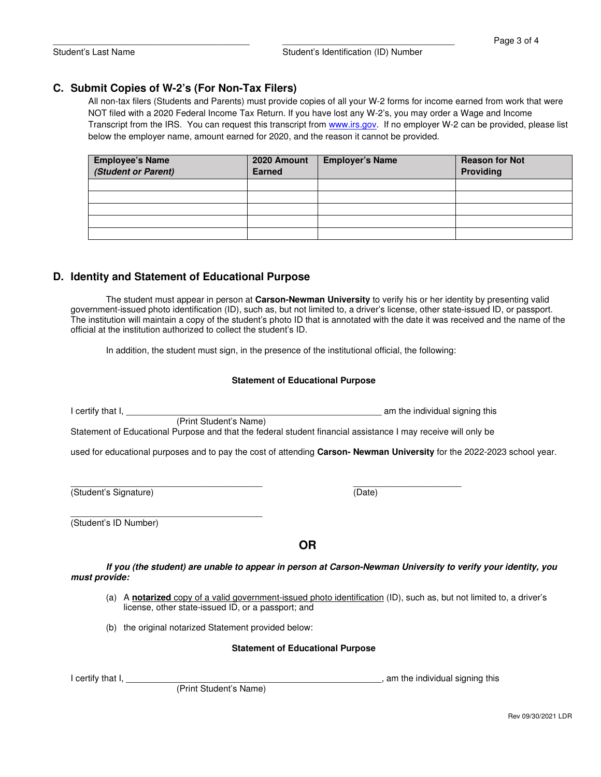## **C. Submit Copies of W-2's (For Non-Tax Filers)**

All non-tax filers (Students and Parents) must provide copies of all your W-2 forms for income earned from work that were NOT filed with a 2020 Federal Income Tax Return. If you have lost any W-2's, you may order a Wage and Income Transcript from the IRS. You can request this transcript from www.irs.gov. If no employer W-2 can be provided, please list below the employer name, amount earned for 2020, and the reason it cannot be provided.

| <b>Employee's Name</b><br>(Student or Parent) | 2020 Amount<br><b>Earned</b> | <b>Employer's Name</b> | <b>Reason for Not</b><br>Providing |
|-----------------------------------------------|------------------------------|------------------------|------------------------------------|
|                                               |                              |                        |                                    |
|                                               |                              |                        |                                    |
|                                               |                              |                        |                                    |
|                                               |                              |                        |                                    |
|                                               |                              |                        |                                    |

## **D. Identity and Statement of Educational Purpose**

The student must appear in person at **Carson-Newman University** to verify his or her identity by presenting valid government-issued photo identification (ID), such as, but not limited to, a driver's license, other state-issued ID, or passport. The institution will maintain a copy of the student's photo ID that is annotated with the date it was received and the name of the official at the institution authorized to collect the student's ID.

In addition, the student must sign, in the presence of the institutional official, the following:

#### **Statement of Educational Purpose**

|                       | (Print Student's Name)                               |                                         | am the individual signing this                                                                                         |
|-----------------------|------------------------------------------------------|-----------------------------------------|------------------------------------------------------------------------------------------------------------------------|
|                       |                                                      |                                         | Statement of Educational Purpose and that the federal student financial assistance I may receive will only be          |
|                       |                                                      |                                         | used for educational purposes and to pay the cost of attending Carson-Newman University for the 2022-2023 school year. |
|                       |                                                      |                                         |                                                                                                                        |
| (Student's Signature) |                                                      |                                         | (Date)                                                                                                                 |
| (Student's ID Number) |                                                      |                                         |                                                                                                                        |
|                       |                                                      | <b>OR</b>                               |                                                                                                                        |
| must provide:         |                                                      |                                         | If you (the student) are unable to appear in person at Carson-Newman University to verify your identity, you           |
|                       | license, other state-issued ID, or a passport; and   |                                         | (a) A notarized copy of a valid government-issued photo identification (ID), such as, but not limited to, a driver's   |
|                       | (b) the original notarized Statement provided below: |                                         |                                                                                                                        |
|                       |                                                      | <b>Statement of Educational Purpose</b> |                                                                                                                        |
| I certify that I,     |                                                      |                                         | , am the individual signing this                                                                                       |
|                       | (Print Student's Name)                               |                                         |                                                                                                                        |